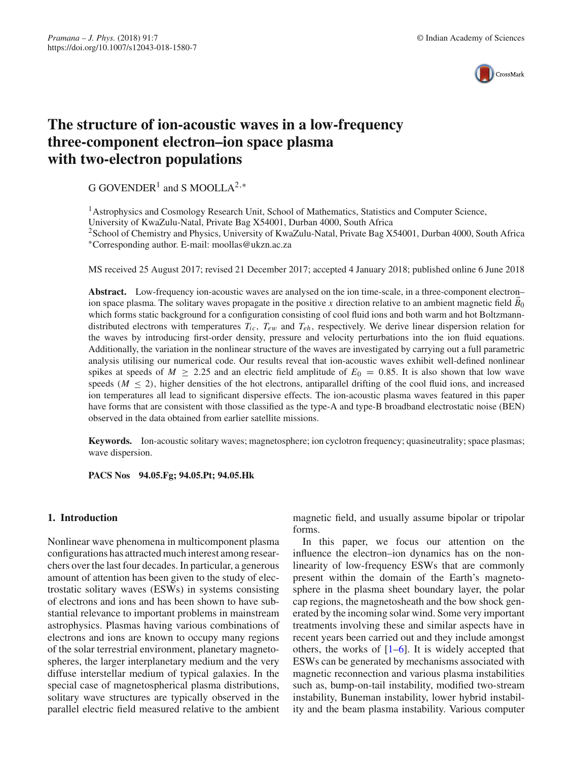

# **The structure of ion-acoustic waves in a low-frequency three-component electron–ion space plasma with two-electron populations**

G GOVENDER<sup>1</sup> and S MOOLLA<sup>2,\*</sup>

<sup>1</sup> Astrophysics and Cosmology Research Unit, School of Mathematics, Statistics and Computer Science, University of KwaZulu-Natal, Private Bag X54001, Durban 4000, South Africa <sup>2</sup>School of Chemistry and Physics, University of KwaZulu-Natal, Private Bag X54001, Durban 4000, South Africa ∗Corresponding author. E-mail: moollas@ukzn.ac.za

MS received 25 August 2017; revised 21 December 2017; accepted 4 January 2018; published online 6 June 2018

**Abstract.** Low-frequency ion-acoustic waves are analysed on the ion time-scale, in a three-component electron– ion space plasma. The solitary waves propagate in the positive *x* direction relative to an ambient magnetic field  $B_0$ which forms static background for a configuration consisting of cool fluid ions and both warm and hot Boltzmanndistributed electrons with temperatures  $T_{ic}$ ,  $T_{e\nu}$  and  $T_{eh}$ , respectively. We derive linear dispersion relation for the waves by introducing first-order density, pressure and velocity perturbations into the ion fluid equations. Additionally, the variation in the nonlinear structure of the waves are investigated by carrying out a full parametric analysis utilising our numerical code. Our results reveal that ion-acoustic waves exhibit well-defined nonlinear spikes at speeds of  $M \ge 2.25$  and an electric field amplitude of  $E_0 = 0.85$ . It is also shown that low wave speeds ( $M \le 2$ ), higher densities of the hot electrons, antiparallel drifting of the cool fluid ions, and increased ion temperatures all lead to significant dispersive effects. The ion-acoustic plasma waves featured in this paper have forms that are consistent with those classified as the type-A and type-B broadband electrostatic noise (BEN) observed in the data obtained from earlier satellite missions.

**Keywords.** Ion-acoustic solitary waves; magnetosphere; ion cyclotron frequency; quasineutrality; space plasmas; wave dispersion.

**PACS Nos 94.05.Fg; 94.05.Pt; 94.05.Hk**

## <span id="page-0-0"></span>**1. Introduction**

Nonlinear wave phenomena in multicomponent plasma configurations has attracted much interest among researchers over the last four decades. In particular, a generous amount of attention has been given to the study of electrostatic solitary waves (ESWs) in systems consisting of electrons and ions and has been shown to have substantial relevance to important problems in mainstream astrophysics. Plasmas having various combinations of electrons and ions are known to occupy many regions of the solar terrestrial environment, planetary magnetospheres, the larger interplanetary medium and the very diffuse interstellar medium of typical galaxies. In the special case of magnetospherical plasma distributions, solitary wave structures are typically observed in the parallel electric field measured relative to the ambient magnetic field, and usually assume bipolar or tripolar forms.

In this paper, we focus our attention on the influence the electron–ion dynamics has on the nonlinearity of low-frequency ESWs that are commonly present within the domain of the Earth's magnetosphere in the plasma sheet boundary layer, the polar cap regions, the magnetosheath and the bow shock generated by the incoming solar wind. Some very important treatments involving these and similar aspects have in recent years been carried out and they include amongst others, the works of  $[1-6]$  $[1-6]$ . It is widely accepted that ESWs can be generated by mechanisms associated with magnetic reconnection and various plasma instabilities such as, bump-on-tail instability, modified two-stream instability, Buneman instability, lower hybrid instability and the beam plasma instability. Various computer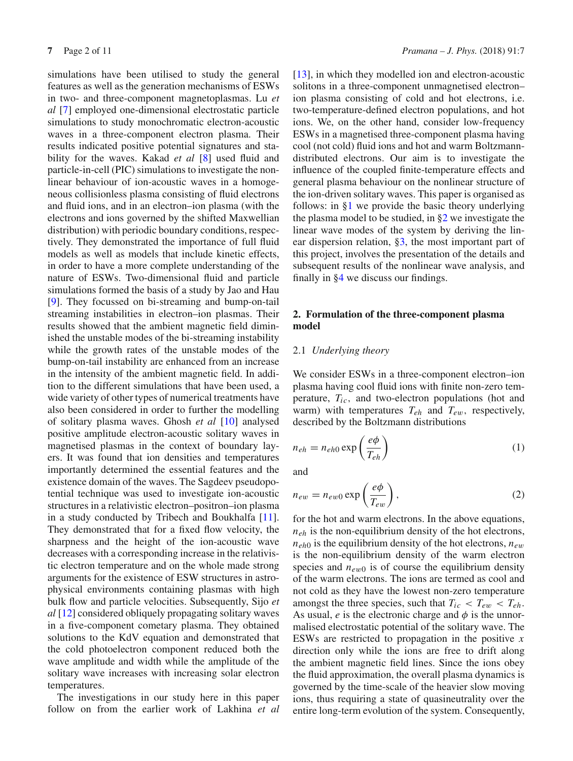simulations have been utilised to study the general features as well as the generation mechanisms of ESWs in two- and three-component magnetoplasmas. Lu *et al* [\[7\]](#page-10-2) employed one-dimensional electrostatic particle simulations to study monochromatic electron-acoustic waves in a three-component electron plasma. Their results indicated positive potential signatures and stability for the waves. Kakad *et al* [\[8](#page-10-3)] used fluid and particle-in-cell (PIC) simulations to investigate the nonlinear behaviour of ion-acoustic waves in a homogeneous collisionless plasma consisting of fluid electrons and fluid ions, and in an electron–ion plasma (with the electrons and ions governed by the shifted Maxwellian distribution) with periodic boundary conditions, respectively. They demonstrated the importance of full fluid models as well as models that include kinetic effects, in order to have a more complete understanding of the nature of ESWs. Two-dimensional fluid and particle simulations formed the basis of a study by Jao and Hau [\[9\]](#page-10-4). They focussed on bi-streaming and bump-on-tail streaming instabilities in electron–ion plasmas. Their results showed that the ambient magnetic field diminished the unstable modes of the bi-streaming instability while the growth rates of the unstable modes of the bump-on-tail instability are enhanced from an increase in the intensity of the ambient magnetic field. In addition to the different simulations that have been used, a wide variety of other types of numerical treatments have also been considered in order to further the modelling of solitary plasma waves. Ghosh *et al* [\[10\]](#page-10-5) analysed positive amplitude electron-acoustic solitary waves in magnetised plasmas in the context of boundary layers. It was found that ion densities and temperatures importantly determined the essential features and the existence domain of the waves. The Sagdeev pseudopotential technique was used to investigate ion-acoustic structures in a relativistic electron–positron–ion plasma in a study conducted by Tribech and Boukhalfa [\[11](#page-10-6)]. They demonstrated that for a fixed flow velocity, the sharpness and the height of the ion-acoustic wave decreases with a corresponding increase in the relativistic electron temperature and on the whole made strong arguments for the existence of ESW structures in astrophysical environments containing plasmas with high bulk flow and particle velocities. Subsequently, Sijo *et al* [\[12](#page-10-7)] considered obliquely propagating solitary waves in a five-component cometary plasma. They obtained solutions to the KdV equation and demonstrated that the cold photoelectron component reduced both the wave amplitude and width while the amplitude of the solitary wave increases with increasing solar electron temperatures.

The investigations in our study here in this paper follow on from the earlier work of Lakhina *et al* [\[13](#page-10-8)], in which they modelled ion and electron-acoustic solitons in a three-component unmagnetised electron– ion plasma consisting of cold and hot electrons, i.e. two-temperature-defined electron populations, and hot ions. We, on the other hand, consider low-frequency ESWs in a magnetised three-component plasma having cool (not cold) fluid ions and hot and warm Boltzmanndistributed electrons. Our aim is to investigate the influence of the coupled finite-temperature effects and general plasma behaviour on the nonlinear structure of the ion-driven solitary waves. This paper is organised as follows: in [§1](#page-0-0) we provide the basic theory underlying the plasma model to be studied, in [§2](#page-1-0) we investigate the linear wave modes of the system by deriving the linear dispersion relation, [§3,](#page-3-0) the most important part of this project, involves the presentation of the details and subsequent results of the nonlinear wave analysis, and finally in [§4](#page-4-0) we discuss our findings.

# <span id="page-1-0"></span>**2. Formulation of the three-component plasma model**

## 2.1 *Underlying theory*

We consider ESWs in a three-component electron–ion plasma having cool fluid ions with finite non-zero temperature, *Tic*, and two-electron populations (hot and warm) with temperatures  $T_{eh}$  and  $T_{ew}$ , respectively, described by the Boltzmann distributions

<span id="page-1-1"></span>
$$
n_{eh} = n_{eh0} \exp\left(\frac{e\phi}{T_{eh}}\right) \tag{1}
$$

<span id="page-1-2"></span>and

$$
n_{ew} = n_{ew0} \exp\left(\frac{e\phi}{T_{ew}}\right),\tag{2}
$$

for the hot and warm electrons. In the above equations, *neh* is the non-equilibrium density of the hot electrons,  $n_{eh0}$  is the equilibrium density of the hot electrons,  $n_{ew}$ is the non-equilibrium density of the warm electron species and  $n_{ew0}$  is of course the equilibrium density of the warm electrons. The ions are termed as cool and not cold as they have the lowest non-zero temperature amongst the three species, such that  $T_{ic} < T_{ew} < T_{eh}$ . As usual,  $e$  is the electronic charge and  $\phi$  is the unnormalised electrostatic potential of the solitary wave. The ESWs are restricted to propagation in the positive *x* direction only while the ions are free to drift along the ambient magnetic field lines. Since the ions obey the fluid approximation, the overall plasma dynamics is governed by the time-scale of the heavier slow moving ions, thus requiring a state of quasineutrality over the entire long-term evolution of the system. Consequently,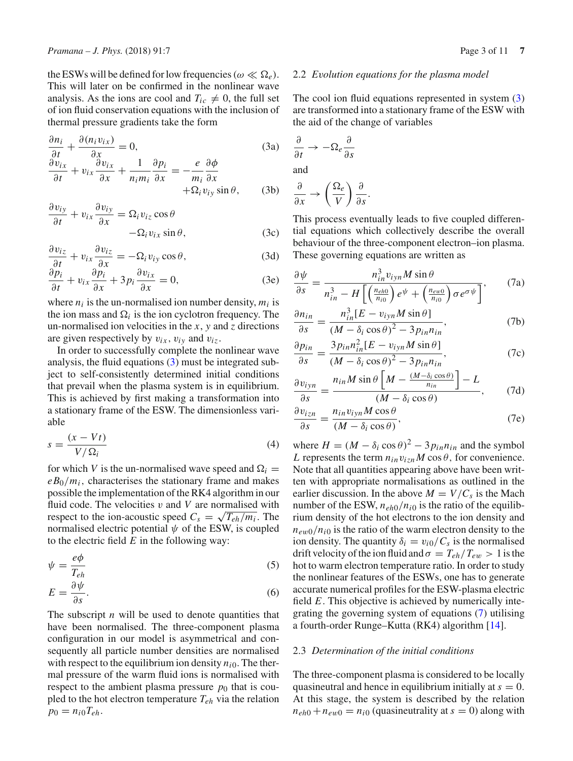the ESWs will be defined for low frequencies ( $\omega \ll \Omega_e$ ). This will later on be confirmed in the nonlinear wave analysis. As the ions are cool and  $T_{ic} \neq 0$ , the full set of ion fluid conservation equations with the inclusion of thermal pressure gradients take the form

$$
\frac{\partial n_i}{\partial t} + \frac{\partial (n_i v_{ix})}{\partial x} = 0,
$$
\n
$$
\frac{\partial v_{ix}}{\partial t} + v_{ix} \frac{\partial v_{ix}}{\partial x} + \frac{1}{n_i m_i} \frac{\partial p_i}{\partial x} = -\frac{e}{m_i} \frac{\partial \phi}{\partial x}
$$
\n
$$
+ \Omega_i v_{iy} \sin \theta,
$$
\n(3b)

$$
\frac{\partial v_{iy}}{\partial t} + v_{ix} \frac{\partial v_{iy}}{\partial x} = \Omega_i v_{iz} \cos \theta -\Omega_i v_{ix} \sin \theta,
$$
 (3c)

$$
\frac{\partial v_{iz}}{\partial t} + v_{ix} \frac{\partial v_{iz}}{\partial x} = -\Omega_i v_{iy} \cos \theta, \tag{3d}
$$

$$
\frac{\partial p_i}{\partial t} + v_{ix} \frac{\partial p_i}{\partial x} + 3 p_i \frac{\partial v_{ix}}{\partial x} = 0, \tag{3e}
$$

where  $n_i$  is the un-normalised ion number density,  $m_i$  is the ion mass and  $\Omega_i$  is the ion cyclotron frequency. The un-normalised ion velocities in the *x*, *y* and *z* directions are given respectively by  $v_{ix}$ ,  $v_{iy}$  and  $v_{iz}$ .

In order to successfully complete the nonlinear wave analysis, the fluid equations [\(3\)](#page-2-0) must be integrated subject to self-consistently determined initial conditions that prevail when the plasma system is in equilibrium. This is achieved by first making a transformation into a stationary frame of the ESW. The dimensionless variable

$$
s = \frac{(x - Vt)}{V/\Omega_i} \tag{4}
$$

for which *V* is the un-normalised wave speed and  $\Omega_i$  =  $e_{\theta_0}/m_i$ , characterises the stationary frame and makes possible the implementation of the RK4 algorithm in our fluid code. The velocities  $v$  and  $V$  are normalised with respect to the ion-acoustic speed  $C_s = \sqrt{T_{eh}/m_i}$ . The normalised electric potential  $\psi$  of the ESW, is coupled to the electric field *E* in the following way:

$$
\psi = \frac{e\phi}{T_{eh}}\tag{5}
$$

$$
E = \frac{\partial \psi}{\partial s}.\tag{6}
$$

The subscript *n* will be used to denote quantities that have been normalised. The three-component plasma configuration in our model is asymmetrical and consequently all particle number densities are normalised with respect to the equilibrium ion density  $n_{i0}$ . The thermal pressure of the warm fluid ions is normalised with respect to the ambient plasma pressure  $p_0$  that is coupled to the hot electron temperature *Teh* via the relation  $p_0 = n_{i0}T_{eh}.$ 

### 2.2 *Evolution equations for the plasma model*

The cool ion fluid equations represented in system [\(3\)](#page-2-0) are transformed into a stationary frame of the ESW with the aid of the change of variables

<span id="page-2-0"></span>
$$
\frac{\partial}{\partial t} \to -\Omega_e \frac{\partial}{\partial s}
$$
  
and

$$
\frac{\partial}{\partial x} \to \left(\frac{\Omega_e}{V}\right) \frac{\partial}{\partial s}.
$$

This process eventually leads to five coupled differential equations which collectively describe the overall behaviour of the three-component electron–ion plasma. These governing equations are written as

<span id="page-2-1"></span>
$$
\frac{\partial \psi}{\partial s} = \frac{n_{in}^3 v_{ijn} M \sin \theta}{n_{in}^3 - H \left[ \left( \frac{n_{eh0}}{n_{i0}} \right) e^{\psi} + \left( \frac{n_{ew0}}{n_{i0}} \right) \sigma e^{\sigma \psi} \right]},
$$
(7a)

$$
\frac{\partial n_{in}}{\partial s} = \frac{n_{in}^3 [E - v_{ijn} M \sin \theta]}{(M - \delta_i \cos \theta)^2 - 3p_{in} n_{in}},
$$
(7b)

$$
\frac{\partial p_{in}}{\partial s} = \frac{3 p_{in} n_{in}^2 [E - v_{ijn} M \sin \theta]}{(M - \delta_i \cos \theta)^2 - 3 p_{in} n_{in}},
$$
(7c)

$$
\frac{\partial v_{iyn}}{\partial s} = \frac{n_{in}M\sin\theta \left[M - \frac{(M - \delta_i\cos\theta)}{n_{in}}\right] - L}{(M - \delta_i\cos\theta)},\tag{7d}
$$

$$
\frac{\partial v_{izn}}{\partial s} = \frac{n_{in}v_{iyn}M\cos\theta}{(M-\delta_i\cos\theta)},
$$
(7e)

where  $H = (M - \delta_i \cos \theta)^2 - 3p_{in}n_{in}$  and the symbol *L* represents the term  $n_{in}v_{izn}M\cos\theta$ , for convenience. Note that all quantities appearing above have been written with appropriate normalisations as outlined in the earlier discussion. In the above  $M = V/C_s$  is the Mach number of the ESW,  $n_{eh0}/n_{i0}$  is the ratio of the equilibrium density of the hot electrons to the ion density and  $n_{ew0}/n_{i0}$  is the ratio of the warm electron density to the ion density. The quantity  $\delta_i = v_{i0}/C_s$  is the normalised drift velocity of the ion fluid and  $\sigma = T_{eh}/T_{ew} > 1$  is the hot to warm electron temperature ratio. In order to study the nonlinear features of the ESWs, one has to generate accurate numerical profiles for the ESW-plasma electric field *E*. This objective is achieved by numerically integrating the governing system of equations [\(7\)](#page-2-1) utilising a fourth-order Runge–Kutta (RK4) algorithm [\[14](#page-10-9)].

#### 2.3 *Determination of the initial conditions*

The three-component plasma is considered to be locally quasineutral and hence in equilibrium initially at  $s = 0$ . At this stage, the system is described by the relation  $n_{eh0} + n_{ew0} = n_{i0}$  (quasineutrality at  $s = 0$ ) along with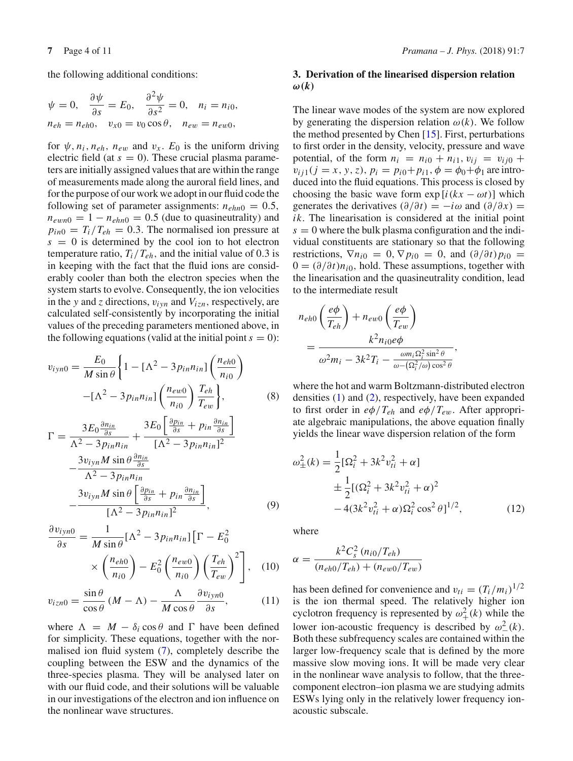the following additional conditions:

$$
\psi = 0, \quad \frac{\partial \psi}{\partial s} = E_0, \quad \frac{\partial^2 \psi}{\partial s^2} = 0, \quad n_i = n_{i0},
$$
  

$$
n_{eh} = n_{eh0}, \quad v_{x0} = v_0 \cos \theta, \quad n_{ew} = n_{ew0},
$$

for  $\psi$ ,  $n_i$ ,  $n_{eh}$ ,  $n_{ew}$  and  $v_x$ .  $E_0$  is the uniform driving electric field (at  $s = 0$ ). These crucial plasma parameters are initially assigned values that are within the range of measurements made along the auroral field lines, and for the purpose of our work we adopt in our fluid code the following set of parameter assignments:  $n_{ehn0} = 0.5$ ,  $n_{\text{ewn0}} = 1 - n_{\text{ehn0}} = 0.5$  (due to quasineutrality) and  $p_{in0} = T_i/T_{eh} = 0.3$ . The normalised ion pressure at  $s = 0$  is determined by the cool ion to hot electron temperature ratio,  $T_i/T_{eh}$ , and the initial value of 0.3 is in keeping with the fact that the fluid ions are considerably cooler than both the electron species when the system starts to evolve. Consequently, the ion velocities in the *y* and *z* directions,  $v_{iyn}$  and  $V_{izn}$ , respectively, are calculated self-consistently by incorporating the initial values of the preceding parameters mentioned above, in the following equations (valid at the initial point  $s = 0$ ):

<span id="page-3-1"></span>
$$
v_{ijn0} = \frac{E_0}{M \sin \theta} \left\{ 1 - \left[ \Lambda^2 - 3p_{in}n_{in} \right] \left( \frac{n_{eh0}}{n_{i0}} \right) - \left[ \Lambda^2 - 3p_{in}n_{in} \right] \left( \frac{n_{ew0}}{n_{i0}} \right) \frac{T_{eh}}{T_{ew}} \right\},\tag{8}
$$

$$
\Gamma = \frac{3E_0 \frac{\partial n_{in}}{\partial s}}{\Lambda^2 - 3p_{in}n_{in}} + \frac{3E_0 \left[ \frac{\partial p_{in}}{\partial s} + p_{in} \frac{\partial n_{in}}{\partial s} \right]}{[\Lambda^2 - 3p_{in}n_{in}]^2} - \frac{3v_{iyn}M \sin \theta \frac{\partial n_{in}}{\partial s}}{\Lambda^2 - 3p_{in}n_{in}} - \frac{3v_{iyn}M \sin \theta \left[ \frac{\partial p_{in}}{\partial s} + p_{in} \frac{\partial n_{in}}{\partial s} \right]}{[\Lambda^2 - 3p_{in}n_{in}]^2},
$$
\n(9)

$$
\frac{\partial v_{ijn0}}{\partial s} = \frac{1}{M \sin \theta} [\Lambda^2 - 3p_{in}n_{in}] [\Gamma - E_0^2
$$

$$
\times \left(\frac{n_{eh0}}{n_{i0}}\right) - E_0^2 \left(\frac{n_{ew0}}{n_{i0}}\right) \left(\frac{T_{eh}}{T_{ew}}\right)^2], \quad (10)
$$

<span id="page-3-2"></span>
$$
v_{izn0} = \frac{\sin \theta}{\cos \theta} (M - \Lambda) - \frac{\Lambda}{M \cos \theta} \frac{\partial v_{iyn0}}{\partial s},
$$
 (11)

where  $\Lambda = M - \delta_i \cos \theta$  and  $\Gamma$  have been defined for simplicity. These equations, together with the normalised ion fluid system [\(7\)](#page-2-1), completely describe the coupling between the ESW and the dynamics of the three-species plasma. They will be analysed later on with our fluid code, and their solutions will be valuable in our investigations of the electron and ion influence on the nonlinear wave structures.

# <span id="page-3-0"></span>**3. Derivation of the linearised dispersion relation**  $\omega(k)$

The linear wave modes of the system are now explored by generating the dispersion relation  $\omega(k)$ . We follow the method presented by Chen [\[15\]](#page-10-10). First, perturbations to first order in the density, velocity, pressure and wave potential, of the form  $n_i = n_{i0} + n_{i1}$ ,  $v_{ii} = v_{ii0} +$  $v_{ij1}(j = x, y, z), p_i = p_{i0} + p_{i1}, \phi = \phi_0 + \phi_1$  are introduced into the fluid equations. This process is closed by choosing the basic wave form  $\exp[i(kx - \omega t)]$  which generates the derivatives  $(\partial/\partial t) = -i\omega$  and  $(\partial/\partial x) =$ *ik*. The linearisation is considered at the initial point  $s = 0$  where the bulk plasma configuration and the individual constituents are stationary so that the following restrictions,  $\nabla n_{i0} = 0$ ,  $\nabla p_{i0} = 0$ , and  $\left(\frac{\partial}{\partial t}\right) p_{i0} =$  $0 = (\partial/\partial t)n_{i0}$ , hold. These assumptions, together with the linearisation and the quasineutrality condition, lead to the intermediate result

$$
n_{eh0} \left(\frac{e\phi}{T_{eh}}\right) + n_{ew0} \left(\frac{e\phi}{T_{ew}}\right)
$$
  
= 
$$
\frac{k^2 n_{i0} e\phi}{\omega^2 m_i - 3k^2 T_i - \frac{\omega m_i \Omega_i^2 \sin^2 \theta}{\omega - (\Omega_i^2/\omega) \cos^2 \theta}},
$$

where the hot and warm Boltzmann-distributed electron densities [\(1\)](#page-1-1) and [\(2\)](#page-1-2), respectively, have been expanded to first order in  $e\phi/T_{eh}$  and  $e\phi/T_{ew}$ . After appropriate algebraic manipulations, the above equation finally yields the linear wave dispersion relation of the form

$$
\omega_{\pm}^{2}(k) = \frac{1}{2} [\Omega_{i}^{2} + 3k^{2} v_{ti}^{2} + \alpha] \n\pm \frac{1}{2} [(\Omega_{i}^{2} + 3k^{2} v_{ti}^{2} + \alpha)^{2} \n- 4(3k^{2} v_{ti}^{2} + \alpha) \Omega_{i}^{2} \cos^{2} \theta]^{1/2},
$$
\n(12)

where

$$
\alpha = \frac{k^2 C_s^2 (n_{i0}/T_{eh})}{(n_{eh0}/T_{eh}) + (n_{ew0}/T_{ew})}
$$

has been defined for convenience and  $v_{ti} = (T_i/m_i)^{1/2}$ is the ion thermal speed. The relatively higher ion cyclotron frequency is represented by  $\omega^2_+(k)$  while the lower ion-acoustic frequency is described by  $\omega_-^2(k)$ . Both these subfrequency scales are contained within the larger low-frequency scale that is defined by the more massive slow moving ions. It will be made very clear in the nonlinear wave analysis to follow, that the threecomponent electron–ion plasma we are studying admits ESWs lying only in the relatively lower frequency ionacoustic subscale.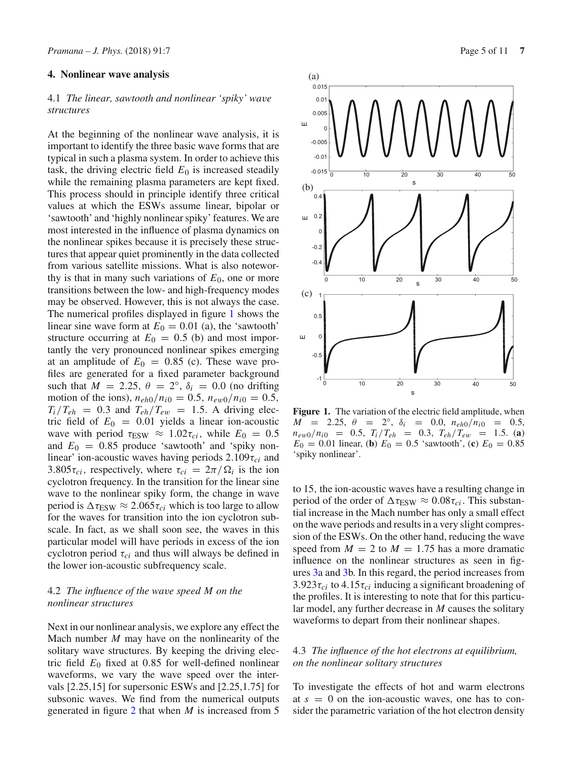## <span id="page-4-0"></span>**4. Nonlinear wave analysis**

# 4.1 *The linear, sawtooth and nonlinear 'spiky' wave structures*

At the beginning of the nonlinear wave analysis, it is important to identify the three basic wave forms that are typical in such a plasma system. In order to achieve this task, the driving electric field  $E_0$  is increased steadily while the remaining plasma parameters are kept fixed. This process should in principle identify three critical values at which the ESWs assume linear, bipolar or 'sawtooth' and 'highly nonlinear spiky' features. We are most interested in the influence of plasma dynamics on the nonlinear spikes because it is precisely these structures that appear quiet prominently in the data collected from various satellite missions. What is also noteworthy is that in many such variations of  $E_0$ , one or more transitions between the low- and high-frequency modes may be observed. However, this is not always the case. The numerical profiles displayed in figure [1](#page-4-1) shows the linear sine wave form at  $E_0 = 0.01$  (a), the 'sawtooth' structure occurring at  $E_0 = 0.5$  (b) and most importantly the very pronounced nonlinear spikes emerging at an amplitude of  $E_0 = 0.85$  (c). These wave profiles are generated for a fixed parameter background such that  $M = 2.25$ ,  $\theta = 2^\circ$ ,  $\delta_i = 0.0$  (no drifting motion of the ions),  $n_{eh0}/n_{i0} = 0.5$ ,  $n_{ew0}/n_{i0} = 0.5$ ,  $T_i/T_{eh}$  = 0.3 and  $T_{eh}/T_{ew}$  = 1.5. A driving electric field of  $E_0 = 0.01$  yields a linear ion-acoustic wave with period  $\tau_{ESW} \approx 1.02 \tau_{ci}$ , while  $E_0 = 0.5$ and  $E_0 = 0.85$  produce 'sawtooth' and 'spiky nonlinear' ion-acoustic waves having periods 2.109τ*ci* and 3.805 $\tau_{ci}$ , respectively, where  $\tau_{ci} = 2\pi/\Omega_i$  is the ion cyclotron frequency. In the transition for the linear sine wave to the nonlinear spiky form, the change in wave period is  $\Delta \tau_{ESW} \approx 2.065 \tau_{ci}$  which is too large to allow for the waves for transition into the ion cyclotron subscale. In fact, as we shall soon see, the waves in this particular model will have periods in excess of the ion cyclotron period τ*ci* and thus will always be defined in the lower ion-acoustic subfrequency scale.

# 4.2 *The influence of the wave speed M on the nonlinear structures*

Next in our nonlinear analysis, we explore any effect the Mach number *M* may have on the nonlinearity of the solitary wave structures. By keeping the driving electric field  $E_0$  fixed at 0.85 for well-defined nonlinear waveforms, we vary the wave speed over the intervals [2.25,15] for supersonic ESWs and [2.25,1.75] for subsonic waves. We find from the numerical outputs generated in figure [2](#page-5-0) that when *M* is increased from 5



<span id="page-4-1"></span>**Figure 1.** The variation of the electric field amplitude, when  $M = 2.25, \theta = 2^\circ, \delta_i = 0.0, n_{eh0}/n_{i0} = 0.5,$  $n_{ew0}/n_{i0} = 0.5$ ,  $T_i/T_{eh} = 0.3$ ,  $T_{eh}/T_{ew} = 1.5$ . (**a**)  $E_0 = 0.01$  linear, (**b**)  $E_0 = 0.5$  'sawtooth', (**c**)  $E_0 = 0.85$ 'spiky nonlinear'.

to 15, the ion-acoustic waves have a resulting change in period of the order of  $\Delta \tau_{\rm ESW} \approx 0.08 \tau_{ci}$ . This substantial increase in the Mach number has only a small effect on the wave periods and results in a very slight compression of the ESWs. On the other hand, reducing the wave speed from  $M = 2$  to  $M = 1.75$  has a more dramatic influence on the nonlinear structures as seen in figures [3a](#page-5-1) and [3b](#page-5-1). In this regard, the period increases from  $3.923\tau_{ci}$  to  $4.15\tau_{ci}$  inducing a significant broadening of the profiles. It is interesting to note that for this particular model, any further decrease in *M* causes the solitary waveforms to depart from their nonlinear shapes.

# 4.3 *The influence of the hot electrons at equilibrium, on the nonlinear solitary structures*

To investigate the effects of hot and warm electrons at  $s = 0$  on the ion-acoustic waves, one has to consider the parametric variation of the hot electron density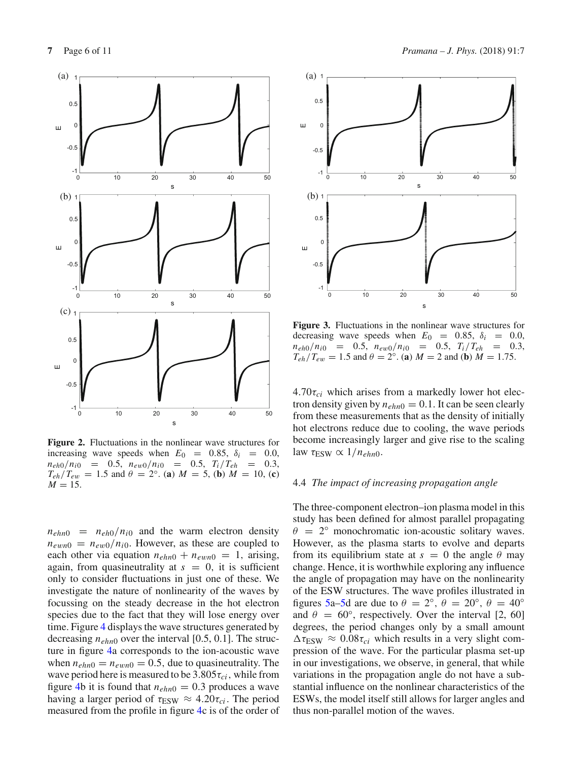

<span id="page-5-0"></span>**Figure 2.** Fluctuations in the nonlinear wave structures for increasing wave speeds when  $E_0 = 0.85$ ,  $\delta_i = 0.0$ ,  $n_{eh0}/n_{i0} = 0.5$ ,  $n_{ew0}/n_{i0} = 0.5$ ,  $T_i/T_{eh} = 0.3$ ,  $T_{eh}/T_{ew} = 1.5$  and  $\theta = 2^{\circ}$ . (**a**)  $M = 5$ , (**b**)  $M = 10$ , (**c**)  $M = 15$ .

 $n_{ehn0}$  =  $n_{eh0}/n_{i0}$  and the warm electron density  $n_{\text{ewn0}} = n_{\text{ew0}}/n_{i0}$ . However, as these are coupled to each other via equation  $n_{ehn0} + n_{ewn0} = 1$ , arising, again, from quasineutrality at  $s = 0$ , it is sufficient only to consider fluctuations in just one of these. We investigate the nature of nonlinearity of the waves by focussing on the steady decrease in the hot electron species due to the fact that they will lose energy over time. Figure [4](#page-6-0) displays the wave structures generated by decreasing *nehn*<sup>0</sup> over the interval [0.5, 0.1]. The structure in figure [4a](#page-6-0) corresponds to the ion-acoustic wave when  $n_{ehn0} = n_{evn0} = 0.5$ , due to quasineutrality. The wave period here is measured to be  $3.805\tau_{ci}$ , while from figure [4b](#page-6-0) it is found that  $n_{ehn0} = 0.3$  produces a wave having a larger period of  $\tau_{ESW} \approx 4.20 \tau_{ci}$ . The period measured from the profile in figure [4c](#page-6-0) is of the order of



<span id="page-5-1"></span>**Figure 3.** Fluctuations in the nonlinear wave structures for decreasing wave speeds when  $E_0 = 0.85$ ,  $\delta_i = 0.0$ ,  $n_{eh0}/n_{i0} = 0.5$ ,  $n_{ew0}/n_{i0} = 0.5$ ,  $T_i/T_{eh} = 0.3$ ,  $T_{eh}/T_{ew} = 1.5$  and  $\theta = 2^{\circ}$ . (**a**)  $M = 2$  and (**b**)  $M = 1.75$ .

 $4.70\tau_{ci}$  which arises from a markedly lower hot electron density given by  $n_{ehn0} = 0.1$ . It can be seen clearly from these measurements that as the density of initially hot electrons reduce due to cooling, the wave periods become increasingly larger and give rise to the scaling law  $\tau_{\text{ESW}} \propto 1/n_{ehn0}$ .

## 4.4 *The impact of increasing propagation angle*

The three-component electron–ion plasma model in this study has been defined for almost parallel propagating  $\theta = 2^{\circ}$  monochromatic ion-acoustic solitary waves. However, as the plasma starts to evolve and departs from its equilibrium state at  $s = 0$  the angle  $\theta$  may change. Hence, it is worthwhile exploring any influence the angle of propagation may have on the nonlinearity of the ESW structures. The wave profiles illustrated in figures [5a–5d](#page-6-1) are due to  $\theta = 2^{\circ}$ ,  $\theta = 20^{\circ}$ ,  $\theta = 40^{\circ}$ and  $\theta = 60^{\circ}$ , respectively. Over the interval [2, 60] degrees, the period changes only by a small amount  $\Delta \tau_{ESW} \approx 0.08 \tau_{ci}$  which results in a very slight compression of the wave. For the particular plasma set-up in our investigations, we observe, in general, that while variations in the propagation angle do not have a substantial influence on the nonlinear characteristics of the ESWs, the model itself still allows for larger angles and thus non-parallel motion of the waves.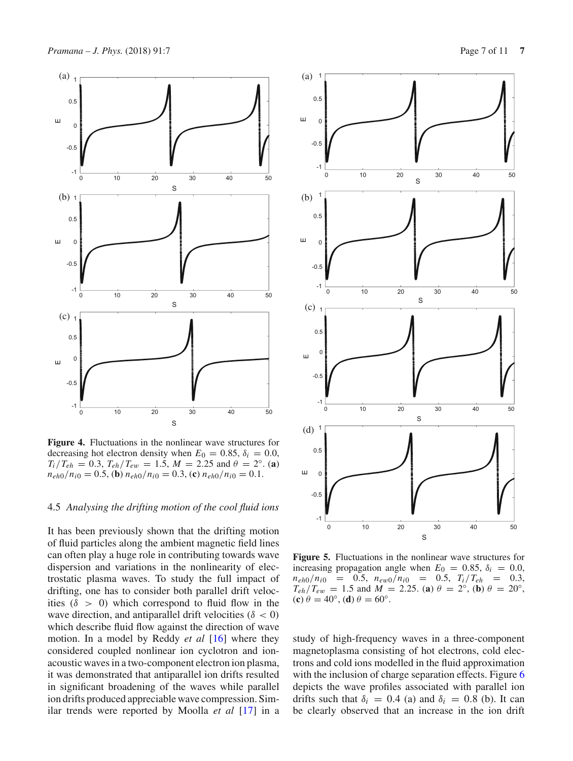

<span id="page-6-0"></span>**Figure 4.** Fluctuations in the nonlinear wave structures for decreasing hot electron density when  $E_0 = 0.85$ ,  $\delta_i = 0.0$ ,  $T_i/T_{eh} = 0.3$ ,  $T_{eh}/T_{ew} = 1.5$ ,  $M = 2.25$  and  $\theta = 2^\circ$ . (**a**)  $n_{eh0}/n_{i0} = 0.5$ , **(b)**  $n_{eh0}/n_{i0} = 0.3$ , **(c)**  $n_{eh0}/n_{i0} = 0.1$ .

## 4.5 *Analysing the drifting motion of the cool fluid ions*

It has been previously shown that the drifting motion of fluid particles along the ambient magnetic field lines can often play a huge role in contributing towards wave dispersion and variations in the nonlinearity of electrostatic plasma waves. To study the full impact of drifting, one has to consider both parallel drift velocities ( $\delta > 0$ ) which correspond to fluid flow in the wave direction, and antiparallel drift velocities ( $\delta$  < 0) which describe fluid flow against the direction of wave motion. In a model by Reddy *et al* [\[16](#page-10-11)] where they considered coupled nonlinear ion cyclotron and ionacoustic waves in a two-component electron ion plasma, it was demonstrated that antiparallel ion drifts resulted in significant broadening of the waves while parallel ion drifts produced appreciable wave compression. Similar trends were reported by Moolla *et al* [\[17](#page-10-12)] in a



<span id="page-6-1"></span>**Figure 5.** Fluctuations in the nonlinear wave structures for increasing propagation angle when  $E_0 = 0.85$ ,  $\delta_i = 0.0$ ,  $n_{eh0}/n_{i0} = 0.5$ ,  $n_{ew0}/n_{i0} = 0.5$ ,  $T_i/T_{eh} = 0.3$ ,  $T_{eh}/T_{ew} = 1.5$  and  $M = 2.25$ . (**a**)  $\theta = 2^\circ$ , (**b**)  $\theta = 20^\circ$ ,  $(c) \theta = 40^\circ$ ,  $(d) \theta = 60^\circ$ .

study of high-frequency waves in a three-component magnetoplasma consisting of hot electrons, cold electrons and cold ions modelled in the fluid approximation with the inclusion of charge separation effects. Figure [6](#page-7-0) depicts the wave profiles associated with parallel ion drifts such that  $\delta_i = 0.4$  (a) and  $\delta_i = 0.8$  (b). It can be clearly observed that an increase in the ion drift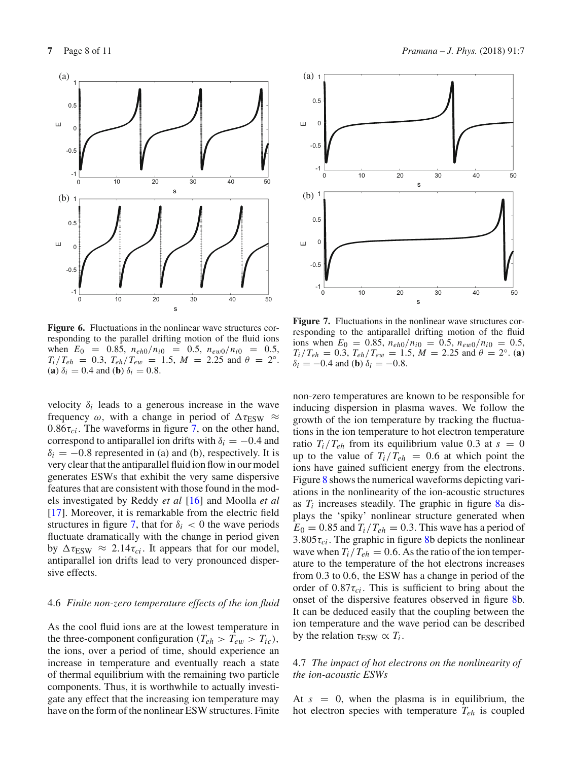

<span id="page-7-0"></span>**Figure 6.** Fluctuations in the nonlinear wave structures corresponding to the parallel drifting motion of the fluid ions when  $E_0 = 0.85$ ,  $n_{eh0}/n_{i0} = 0.5$ ,  $n_{ew0}/n_{i0} = 0.5$ ,  $T_i/T_{eh} = 0.3$ ,  $T_{eh}/T_{ew} = 1.5$ ,  $M = 2.25$  and  $\theta = 2°$ . (**a**)  $\delta_i = 0.4$  and (**b**)  $\delta_i = 0.8$ .

velocity  $\delta_i$  leads to a generous increase in the wave frequency  $\omega$ , with a change in period of  $\Delta \tau_{\rm ESW} \approx$  $0.86\tau_{ci}$ . The waveforms in figure [7,](#page-7-1) on the other hand, correspond to antiparallel ion drifts with  $\delta_i = -0.4$  and  $\delta_i = -0.8$  represented in (a) and (b), respectively. It is very clear that the antiparallel fluid ion flow in our model generates ESWs that exhibit the very same dispersive features that are consistent with those found in the models investigated by Reddy *et al* [\[16\]](#page-10-11) and Moolla *et al* [\[17](#page-10-12)]. Moreover, it is remarkable from the electric field structures in figure [7,](#page-7-1) that for  $\delta_i < 0$  the wave periods fluctuate dramatically with the change in period given by  $\Delta \tau_{ESW} \approx 2.14 \tau_{ci}$ . It appears that for our model, antiparallel ion drifts lead to very pronounced dispersive effects.

### 4.6 *Finite non-zero temperature effects of the ion fluid*

As the cool fluid ions are at the lowest temperature in the three-component configuration ( $T_{eh} > T_{ew} > T_{ic}$ ), the ions, over a period of time, should experience an increase in temperature and eventually reach a state of thermal equilibrium with the remaining two particle components. Thus, it is worthwhile to actually investigate any effect that the increasing ion temperature may have on the form of the nonlinear ESW structures. Finite





<span id="page-7-1"></span>**Figure 7.** Fluctuations in the nonlinear wave structures corresponding to the antiparallel drifting motion of the fluid ions when  $E_0 = 0.85$ ,  $n_{eh0}/n_{i0} = 0.5$ ,  $n_{ew0}/n_{i0} = 0.5$ ,  $T_i/T_{eh} = 0.3$ ,  $T_{eh}/T_{ew} = 1.5$ ,  $M = 2.25$  and  $\theta = 2°$ . (**a**)  $\delta_i = -0.4$  and (**b**)  $\delta_i = -0.8$ .

non-zero temperatures are known to be responsible for inducing dispersion in plasma waves. We follow the growth of the ion temperature by tracking the fluctuations in the ion temperature to hot electron temperature ratio  $T_i/T_{eh}$  from its equilibrium value 0.3 at  $s = 0$ up to the value of  $T_i/T_{eh} = 0.6$  at which point the ions have gained sufficient energy from the electrons. Figure [8](#page-8-0) shows the numerical waveforms depicting variations in the nonlinearity of the ion-acoustic structures as  $T_i$  increases steadily. The graphic in figure  $8a$  displays the 'spiky' nonlinear structure generated when  $E_0 = 0.85$  and  $T_i/T_{eh} = 0.3$ . This wave has a period of 3.805 $\tau_{ci}$ . The graphic in figure [8b](#page-8-0) depicts the nonlinear wave when  $T_i/T_{eh} = 0.6$ . As the ratio of the ion temperature to the temperature of the hot electrons increases from 0.3 to 0.6, the ESW has a change in period of the order of  $0.87\tau_{ci}$ . This is sufficient to bring about the onset of the dispersive features observed in figure [8b](#page-8-0). It can be deduced easily that the coupling between the ion temperature and the wave period can be described by the relation  $\tau_{ESW} \propto T_i$ .

## 4.7 *The impact of hot electrons on the nonlinearity of the ion-acoustic ESWs*

At  $s = 0$ , when the plasma is in equilibrium, the hot electron species with temperature *Teh* is coupled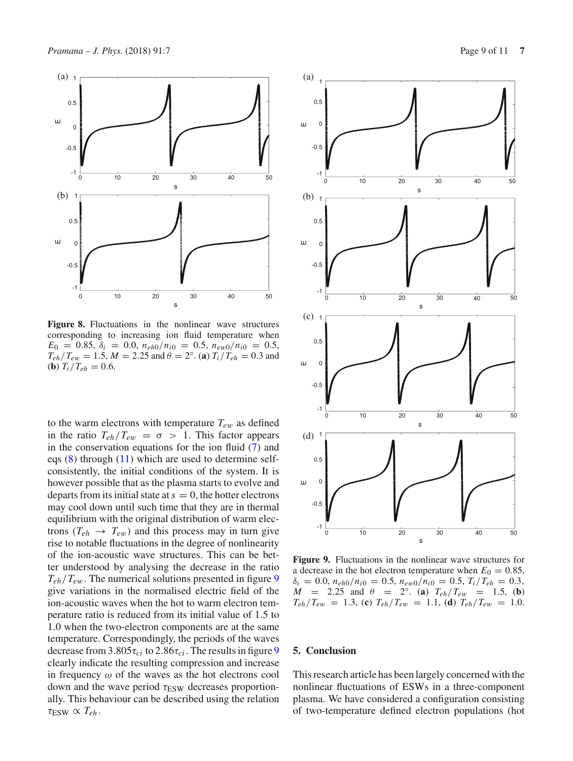

<span id="page-8-0"></span>**Figure 8.** Fluctuations in the nonlinear wave structures corresponding to increasing ion fluid temperature when  $E_0 = 0.85$ ,  $\delta_i = 0.0$ ,  $n_{eh0}/n_{i0} = 0.5$ ,  $n_{ew0}/n_{i0} = 0.5$ ,  $T_{eh}/T_{ew} = 1.5$ ,  $M = 2.25$  and  $\theta = 2°$ . (**a**)  $T_i/T_{eh} = 0.3$  and (**b**)  $T_i/T_{eh} = 0.6$ .

to the warm electrons with temperature  $T_{ew}$  as defined in the ratio  $T_{eh}/T_{ew} = \sigma > 1$ . This factor appears in the conservation equations for the ion fluid  $(7)$  and eqs [\(8\)](#page-3-1) through [\(11\)](#page-3-2) which are used to determine selfconsistently, the initial conditions of the system. It is however possible that as the plasma starts to evolve and departs from its initial state at  $s = 0$ , the hotter electrons may cool down until such time that they are in thermal equilibrium with the original distribution of warm electrons ( $T_{eh} \rightarrow T_{ew}$ ) and this process may in turn give rise to notable fluctuations in the degree of nonlinearity of the ion-acoustic wave structures. This can be better understood by analysing the decrease in the ratio *Teh*/*Te*w. The numerical solutions presented in figure [9](#page-8-1) give variations in the normalised electric field of the ion-acoustic waves when the hot to warm electron temperature ratio is reduced from its initial value of 1.5 to 1.0 when the two-electron components are at the same temperature. Correspondingly, the periods of the waves decrease from  $3.805\tau_{ci}$  to  $2.86\tau_{ci}$ . The results in figure [9](#page-8-1) clearly indicate the resulting compression and increase in frequency  $\omega$  of the waves as the hot electrons cool down and the wave period  $\tau_{ESW}$  decreases proportionally. This behaviour can be described using the relation  $\tau_{ESW} \propto T_{eh}.$ 



<span id="page-8-1"></span>**Figure 9.** Fluctuations in the nonlinear wave structures for a decrease in the hot electron temperature when  $E_0 = 0.85$ ,  $\delta_i = 0.0, n_{eh0}/n_{i0} = 0.5, n_{ew0}/n_{i0} = 0.5, T_i/T_{eh} = 0.3,$  $M = 2.25$  and  $\theta = 2°$ . (**a**)  $T_{eh}/T_{ew} = 1.5$ , (**b**)  $T_{eh}/T_{ew}$  = 1.3, (**c**)  $T_{eh}/T_{ew}$  = 1.1, (**d**)  $T_{eh}/T_{ew}$  = 1.0.

## **5. Conclusion**

This research article has been largely concerned with the nonlinear fluctuations of ESWs in a three-component plasma. We have considered a configuration consisting of two-temperature defined electron populations (hot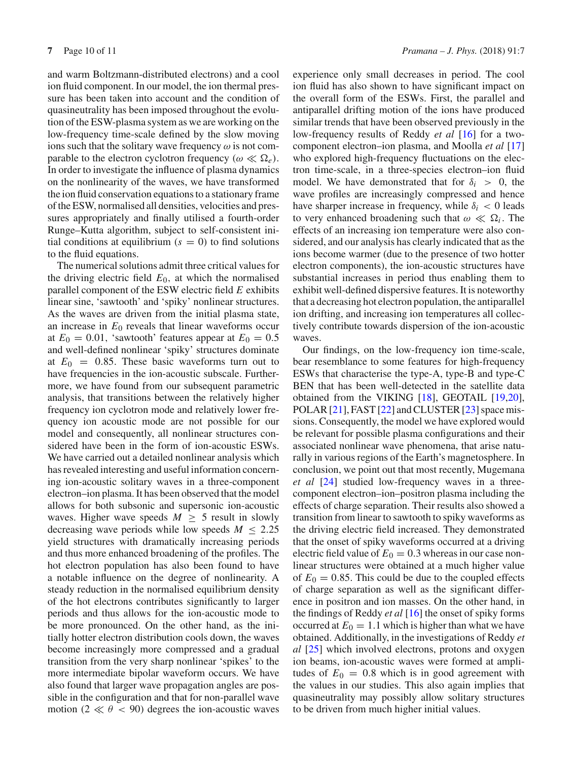and warm Boltzmann-distributed electrons) and a cool ion fluid component. In our model, the ion thermal pressure has been taken into account and the condition of quasineutrality has been imposed throughout the evolution of the ESW-plasma system as we are working on the low-frequency time-scale defined by the slow moving ions such that the solitary wave frequency  $\omega$  is not comparable to the electron cyclotron frequency ( $\omega \ll \Omega_e$ ). In order to investigate the influence of plasma dynamics on the nonlinearity of the waves, we have transformed the ion fluid conservation equations to a stationary frame of the ESW, normalised all densities, velocities and pressures appropriately and finally utilised a fourth-order Runge–Kutta algorithm, subject to self-consistent initial conditions at equilibrium  $(s = 0)$  to find solutions to the fluid equations.

The numerical solutions admit three critical values for the driving electric field  $E_0$ , at which the normalised parallel component of the ESW electric field *E* exhibits linear sine, 'sawtooth' and 'spiky' nonlinear structures. As the waves are driven from the initial plasma state, an increase in  $E_0$  reveals that linear waveforms occur at  $E_0 = 0.01$ , 'sawtooth' features appear at  $E_0 = 0.5$ and well-defined nonlinear 'spiky' structures dominate at  $E_0 = 0.85$ . These basic waveforms turn out to have frequencies in the ion-acoustic subscale. Furthermore, we have found from our subsequent parametric analysis, that transitions between the relatively higher frequency ion cyclotron mode and relatively lower frequency ion acoustic mode are not possible for our model and consequently, all nonlinear structures considered have been in the form of ion-acoustic ESWs. We have carried out a detailed nonlinear analysis which has revealed interesting and useful information concerning ion-acoustic solitary waves in a three-component electron–ion plasma. It has been observed that the model allows for both subsonic and supersonic ion-acoustic waves. Higher wave speeds  $M \geq 5$  result in slowly decreasing wave periods while low speeds  $M \leq 2.25$ yield structures with dramatically increasing periods and thus more enhanced broadening of the profiles. The hot electron population has also been found to have a notable influence on the degree of nonlinearity. A steady reduction in the normalised equilibrium density of the hot electrons contributes significantly to larger periods and thus allows for the ion-acoustic mode to be more pronounced. On the other hand, as the initially hotter electron distribution cools down, the waves become increasingly more compressed and a gradual transition from the very sharp nonlinear 'spikes' to the more intermediate bipolar waveform occurs. We have also found that larger wave propagation angles are possible in the configuration and that for non-parallel wave motion (2  $\ll \theta$  < 90) degrees the ion-acoustic waves experience only small decreases in period. The cool ion fluid has also shown to have significant impact on the overall form of the ESWs. First, the parallel and antiparallel drifting motion of the ions have produced similar trends that have been observed previously in the low-frequency results of Reddy *et al* [\[16](#page-10-11)] for a twocomponent electron–ion plasma, and Moolla *et al* [\[17\]](#page-10-12) who explored high-frequency fluctuations on the electron time-scale, in a three-species electron–ion fluid model. We have demonstrated that for  $\delta_i > 0$ , the wave profiles are increasingly compressed and hence have sharper increase in frequency, while  $\delta_i$  < 0 leads to very enhanced broadening such that  $\omega \ll \Omega_i$ . The effects of an increasing ion temperature were also considered, and our analysis has clearly indicated that as the ions become warmer (due to the presence of two hotter electron components), the ion-acoustic structures have substantial increases in period thus enabling them to exhibit well-defined dispersive features. It is noteworthy that a decreasing hot electron population, the antiparallel ion drifting, and increasing ion temperatures all collectively contribute towards dispersion of the ion-acoustic waves.

Our findings, on the low-frequency ion time-scale, bear resemblance to some features for high-frequency ESWs that characterise the type-A, type-B and type-C BEN that has been well-detected in the satellite data obtained from the VIKING [\[18](#page-10-13)], GEOTAIL [\[19](#page-10-14)[,20](#page-10-15)], POLAR [\[21\]](#page-10-16), FAST [\[22](#page-10-17)] and CLUSTER [\[23\]](#page-10-18) space missions. Consequently, the model we have explored would be relevant for possible plasma configurations and their associated nonlinear wave phenomena, that arise naturally in various regions of the Earth's magnetosphere. In conclusion, we point out that most recently, Mugemana *et al* [\[24](#page-10-19)] studied low-frequency waves in a threecomponent electron–ion–positron plasma including the effects of charge separation. Their results also showed a transition from linear to sawtooth to spiky waveforms as the driving electric field increased. They demonstrated that the onset of spiky waveforms occurred at a driving electric field value of  $E_0 = 0.3$  whereas in our case nonlinear structures were obtained at a much higher value of  $E_0 = 0.85$ . This could be due to the coupled effects of charge separation as well as the significant difference in positron and ion masses. On the other hand, in the findings of Reddy *et al* [\[16\]](#page-10-11) the onset of spiky forms occurred at  $E_0 = 1.1$  which is higher than what we have obtained. Additionally, in the investigations of Reddy *et al* [\[25\]](#page-10-20) which involved electrons, protons and oxygen ion beams, ion-acoustic waves were formed at amplitudes of  $E_0 = 0.8$  which is in good agreement with the values in our studies. This also again implies that quasineutrality may possibly allow solitary structures to be driven from much higher initial values.